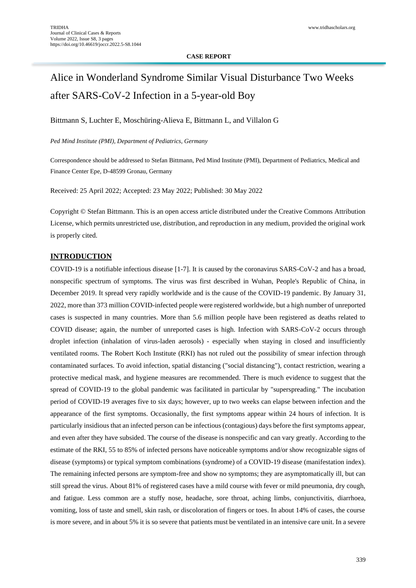### **CASE REPORT**

# Alice in Wonderland Syndrome Similar Visual Disturbance Two Weeks after SARS-CoV-2 Infection in a 5-year-old Boy

Bittmann S, Luchter E, Moschüring-Alieva E, Bittmann L, and Villalon G

*Ped Mind Institute (PMI), Department of Pediatrics, Germany*

Correspondence should be addressed to Stefan Bittmann, Ped Mind Institute (PMI), Department of Pediatrics, Medical and Finance Center Epe, D-48599 Gronau, Germany

Received: 25 April 2022; Accepted: 23 May 2022; Published: 30 May 2022

Copyright © Stefan Bittmann. This is an open access article distributed under the Creative Commons Attribution License, which permits unrestricted use, distribution, and reproduction in any medium, provided the original work is properly cited.

### **INTRODUCTION**

COVID-19 is a notifiable infectious disease [1-7]. It is caused by the coronavirus SARS-CoV-2 and has a broad, nonspecific spectrum of symptoms. The virus was first described in Wuhan, People's Republic of China, in December 2019. It spread very rapidly worldwide and is the cause of the COVID-19 pandemic. By January 31, 2022, more than 373 million COVID-infected people were registered worldwide, but a high number of unreported cases is suspected in many countries. More than 5.6 million people have been registered as deaths related to COVID disease; again, the number of unreported cases is high. Infection with SARS-CoV-2 occurs through droplet infection (inhalation of virus-laden aerosols) - especially when staying in closed and insufficiently ventilated rooms. The Robert Koch Institute (RKI) has not ruled out the possibility of smear infection through contaminated surfaces. To avoid infection, spatial distancing ("social distancing"), contact restriction, wearing a protective medical mask, and hygiene measures are recommended. There is much evidence to suggest that the spread of COVID-19 to the global pandemic was facilitated in particular by "superspreading." The incubation period of COVID-19 averages five to six days; however, up to two weeks can elapse between infection and the appearance of the first symptoms. Occasionally, the first symptoms appear within 24 hours of infection. It is particularly insidious that an infected person can be infectious (contagious) days before the first symptoms appear, and even after they have subsided. The course of the disease is nonspecific and can vary greatly. According to the estimate of the RKI, 55 to 85% of infected persons have noticeable symptoms and/or show recognizable signs of disease (symptoms) or typical symptom combinations (syndrome) of a COVID-19 disease (manifestation index). The remaining infected persons are symptom-free and show no symptoms; they are asymptomatically ill, but can still spread the virus. About 81% of registered cases have a mild course with fever or mild pneumonia, dry cough, and fatigue. Less common are a stuffy nose, headache, sore throat, aching limbs, conjunctivitis, diarrhoea, vomiting, loss of taste and smell, skin rash, or discoloration of fingers or toes. In about 14% of cases, the course is more severe, and in about 5% it is so severe that patients must be ventilated in an intensive care unit. In a severe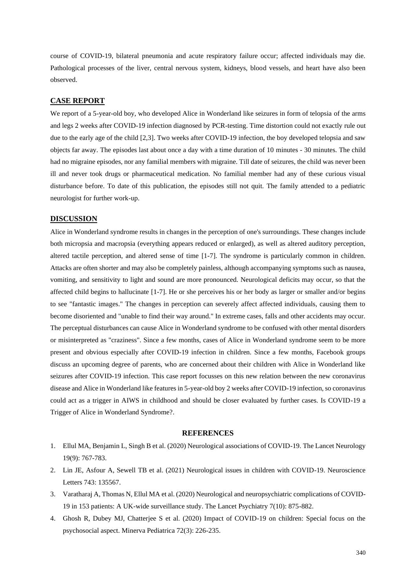course of COVID-19, bilateral pneumonia and acute respiratory failure occur; affected individuals may die. Pathological processes of the liver, central nervous system, kidneys, blood vessels, and heart have also been observed.

# **CASE REPORT**

We report of a 5-year-old boy, who developed Alice in Wonderland like seizures in form of telopsia of the arms and legs 2 weeks after COVID-19 infection diagnosed by PCR-testing. Time distortion could not exactly rule out due to the early age of the child [2,3]. Two weeks after COVID-19 infection, the boy developed telopsia and saw objects far away. The episodes last about once a day with a time duration of 10 minutes - 30 minutes. The child had no migraine episodes, nor any familial members with migraine. Till date of seizures, the child was never been ill and never took drugs or pharmaceutical medication. No familial member had any of these curious visual disturbance before. To date of this publication, the episodes still not quit. The family attended to a pediatric neurologist for further work-up.

## **DISCUSSION**

Alice in Wonderland syndrome results in changes in the perception of one's surroundings. These changes include both micropsia and macropsia (everything appears reduced or enlarged), as well as altered auditory perception, altered tactile perception, and altered sense of time [1-7]. The syndrome is particularly common in children. Attacks are often shorter and may also be completely painless, although accompanying symptoms such as nausea, vomiting, and sensitivity to light and sound are more pronounced. Neurological deficits may occur, so that the affected child begins to hallucinate [1-7]. He or she perceives his or her body as larger or smaller and/or begins to see "fantastic images." The changes in perception can severely affect affected individuals, causing them to become disoriented and "unable to find their way around." In extreme cases, falls and other accidents may occur. The perceptual disturbances can cause Alice in Wonderland syndrome to be confused with other mental disorders or misinterpreted as "craziness". Since a few months, cases of Alice in Wonderland syndrome seem to be more present and obvious especially after COVID-19 infection in children. Since a few months, Facebook groups discuss an upcoming degree of parents, who are concerned about their children with Alice in Wonderland like seizures after COVID-19 infection. This case report focusses on this new relation between the new coronavirus disease and Alice in Wonderland like features in 5-year-old boy 2 weeks after COVID-19 infection, so coronavirus could act as a trigger in AIWS in childhood and should be closer evaluated by further cases. Is COVID-19 a Trigger of Alice in Wonderland Syndrome?.

## **REFERENCES**

- 1. [Ellul MA, Benjamin L, Singh B et al. \(2020\) Neurological associations of COVID-19. The Lancet Neurology](https://www.sciencedirect.com/science/article/pii/S1474442220302210)  [19\(9\): 767-783.](https://www.sciencedirect.com/science/article/pii/S1474442220302210)
- 2. Lin JE, [Asfour A, Sewell TB et al. \(2021\) Neurological issues in children with COVID-19. Neuroscience](https://www.sciencedirect.com/science/article/pii/S0304394020308375)  [Letters 743: 135567.](https://www.sciencedirect.com/science/article/pii/S0304394020308375)
- 3. [Varatharaj A, Thomas N, Ellul MA et al. \(2020\) Neurological and neuropsychiatric complications of COVID-](https://www.sciencedirect.com/science/article/pii/S221503662030287X)[19 in 153 patients: A UK-wide surveillance study. The Lancet Psychiatry 7\(10\): 875-882.](https://www.sciencedirect.com/science/article/pii/S221503662030287X)
- 4. [Ghosh R, Dubey MJ, Chatterjee S et al. \(2020\) Impact of COVID-19 on children: Special focus on the](https://europepmc.org/article/med/32613821)  [psychosocial aspect. Minerva Pediatrica 72\(3\): 226-235.](https://europepmc.org/article/med/32613821)